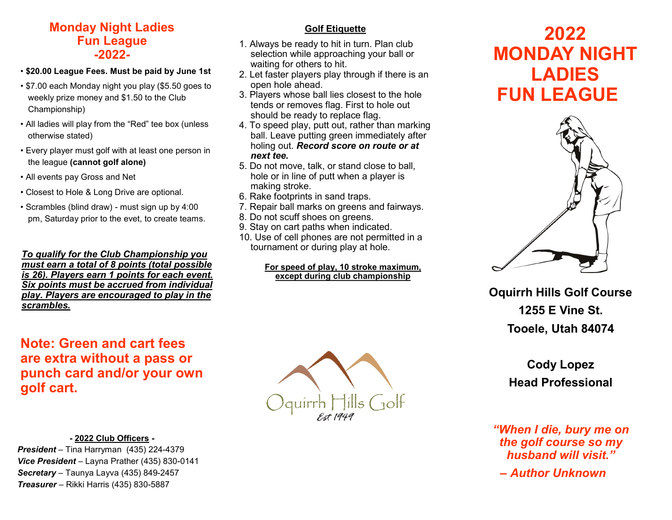### **Monday Night Ladies Fun League -2022-**

- **\$20.00 League Fees. Must be paid by June 1st**
- \$7.00 each Monday night you play (\$5.50 goes to weekly prize money and \$1.50 to the Club Championship)
- All ladies will play from the "Red" tee box (unless otherwise stated)
- Every player must golf with at least one person in the league **(cannot golf alone)**
- All events pay Gross and Net
- Closest to Hole & Long Drive are optional.
- Scrambles (blind draw) must sign up by 4:00 pm, Saturday prior to the evet, to create teams.

*To qualify for the Club Championship you must earn a total of 8 points (total possible is 26). Players earn 1 points for each event. Six points must be accrued from individual play. Players are encouraged to play in the scrambles.* 

# **Note: Green and cart fees are extra without a pass or punch card and/or your own golf cart.**

#### **- 2022 Club Officers -**

*President* – Tina Harryman (435) 224-4379 *Vice President* – Layna Prather (435) 830-0141 *Secretary* – Taunya Layva (435) 849-2457 *Treasurer* – Rikki Harris (435) 830-5887

### **Golf Etiquette**

- 1. Always be ready to hit in turn. Plan club selection while approaching your ball or waiting for others to hit.
- 2. Let faster players play through if there is an open hole ahead.
- 3. Players whose ball lies closest to the hole tends or removes flag. First to hole out should be ready to replace flag.
- 4. To speed play, putt out, rather than marking ball. Leave putting green immediately after holing out. *Record score on route or at next tee.*
- 5. Do not move, talk, or stand close to ball, hole or in line of putt when a player is making stroke.
- 6. Rake footprints in sand traps.
- 7. Repair ball marks on greens and fairways.
- 8. Do not scuff shoes on greens.
- 9. Stay on cart paths when indicated.
- 10. Use of cell phones are not permitted in a tournament or during play at hole.

#### **For speed of play, 10 stroke maximum, except during club championship**

# **2022 MONDAY NIGHT LADIES FUN LEAGUE**



**Oquirrh Hills Golf Course 1255 E Vine St. Tooele, Utah 84074**

# **Cody Lopez Head Professional**

### *"When I die, bury me on the golf course so my husband will visit."*

*– Author Unknown*